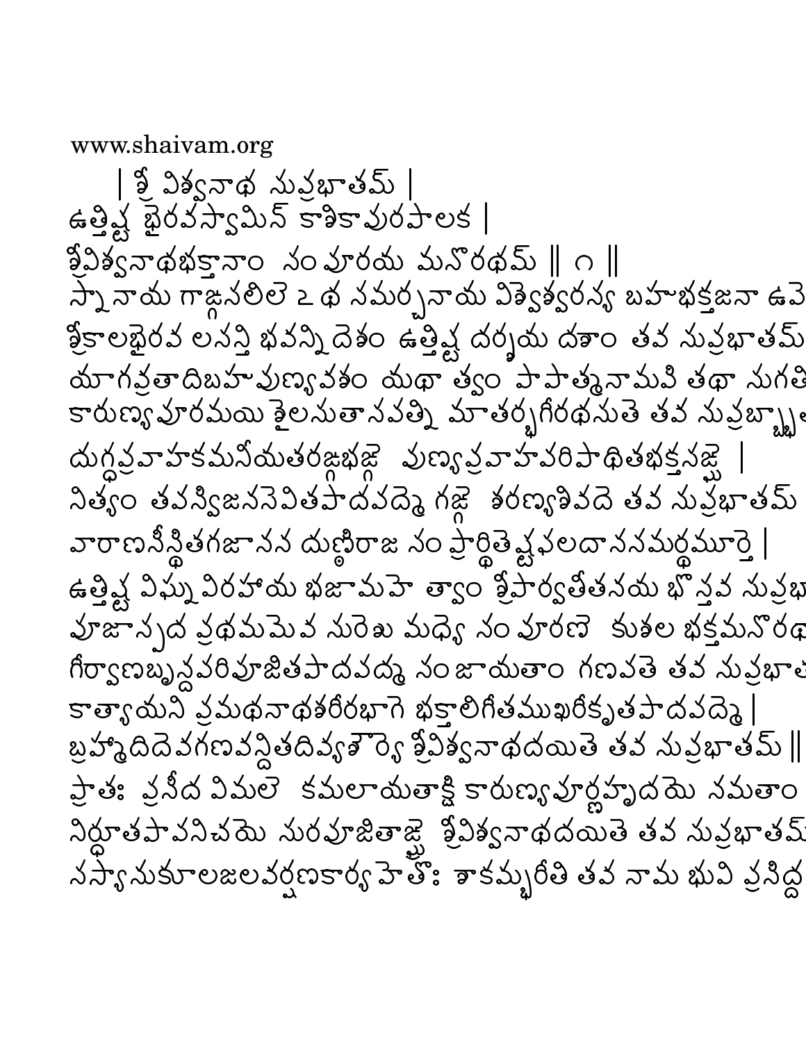www.shaivam.org

| శ్రీ విశ్వనాథ నువ్రభాతమ్ | ఉత్తిష్ట భైరవస్వామిన్ కాశికావురపాలక | ప్రీపిశ్వనాథభక్తానాం నంపూరయ మనొరథమ్ ∥ం ∥ స్నే నాయ గాజ్గనలిలె ఒథ నమర్చనాయ విశ్వెశ్వరన్య బహాభక్తజనా ఉపె శ్రీకాలభైరవ లనన్తి భవన్ని దెశం ఉత్తిష్ట దర్శయ దశాం తవ నువ్రభాతమ్ สบากสัย ดิมมางัยรถมัด สาขา ด้วย มามาตุมามมิชุด สาก కారుణ్య హరమయి శైల సుతానవత్ని మాతర్బగీరథ సుతె తవ నువ్రబ్బ్బ్ అ ส่งที่จุ๊จาร์รับมิสงฮังสุสุสิ มัตรูจุ๋จารังอิสติฮัสร์มัส 2350 3125 2323345 323 23 36 36 2533 343 35 35 35 వారాణనీన్థితగజానన దుణ్ణిరాజ నం ప్రార్థితె వ్రైవలదాననమర్థమూర్తె | ఉత్తివ్ద విఘ్న విరహాయ భజామహె త్వాం శ్రీపార్వతితనయ భొన్తవ నువ్రభి వూజాన్నద వ్రథమపెువ నురెఖ మధ్యే నం వూరణె కుశల భక్తమనొరథ గీర్వాణబృ్ద్ధవరివూజితపాదవద్మ నంజాయతాం గణవతె తవ నువ్రభాళ కాత్యాయని వ్రమథనాథశరీరభాగె భక్తాలిగితముఖరీకృతపాదవద్మె | బ్రహ్మాదిదెవగణవన్ధితదివ్యశౌర్యె శ్రీవిశ్వనాథదయితె తవ నువ్రభాతమ్ || ప్రాత: వ్రనీద విమలె కమలాయతాక్షి కారుణ్య హర్దహృద్ధమ నమతాం నిర్దూతపావనిచయె నురవూజితాజ్హ్హ శ్రీవిశ్వనాథదయితె తవ నువ్రభాతమ్ నస్యానుకూలజలవర్షణకార్య హెత్తోః శాకమ్బరీతి తవ నామ భువి వ్రసిద్ధ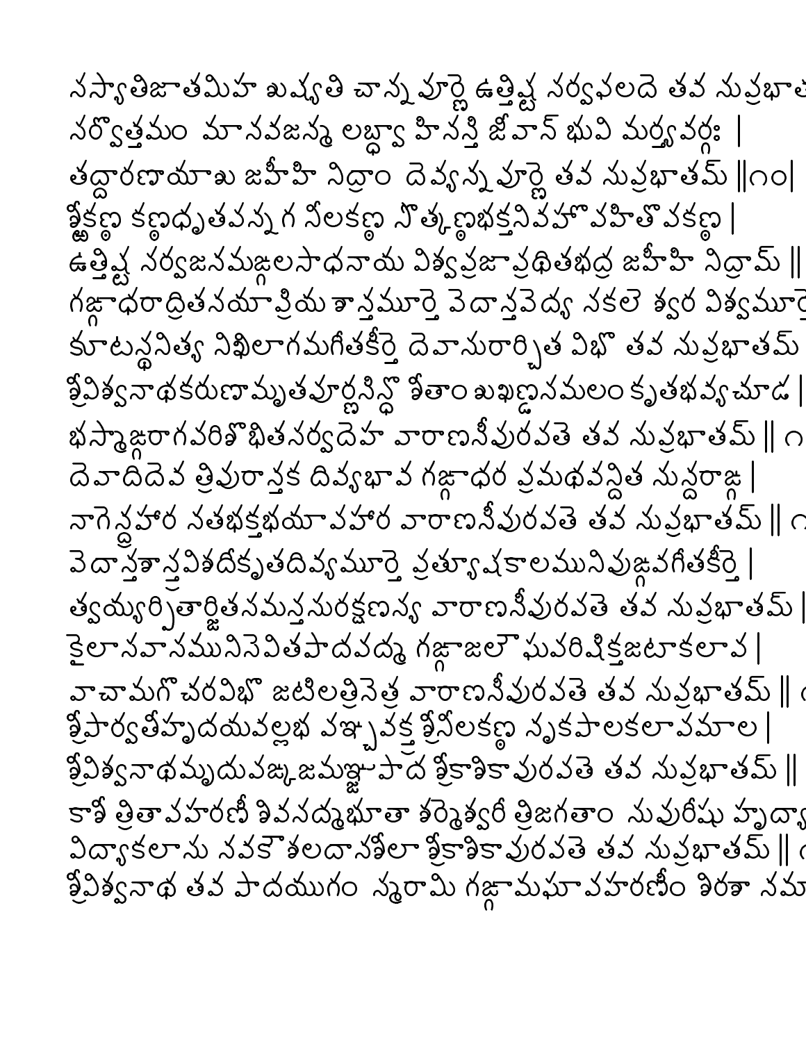నస్యాతిజాతమిహ ఖష్యతి చాన్న వూర్ణె ఉత్తిష్ట నర్వఫలదె తవ నువ్రభాళ నర్వొత్తమం మానవజన్మ లబ్ద్యా హిన<sup>్వై</sup> జీ.హెన్ భువి మర్త్యవర్గః | తద్దారణాయాఖ జహీహి నిధ్రాం దెవ్యన్న హర్ణె తవ నువ్రభాతమ్  $\parallel$ ౧౦ $\parallel$ క్టీక్ట కణ్ణధృతవన్న గ నీలకణ్ నొత్కణభక్తనివేహొ వహితొ వకణ్ణ | ఉత్తిష్ట నర్వజనమఙ్గలసాధనాయ విశ్వప్రజావ్రథితభద్ర జహీహి నిద్రామ్ || గజ్గాధరాద్రితనయా క్రియ శాన్త్రమూర్తె వెదాన్త్రవెద్య నకలె శ్వర విశ్వమూర్తె కూటన్థనిత్య నిఖిలాగమగీతకీర్తె దెవానురార్చిత విభొతవ నువ్రభాతమ్ క్రీవిశ్వనాథకరుణామృతవూర్ణనిన్దో కేతాం ఖఖణ్ణనమలం కృతభవ్య చూడ | భస్మాజ్గాగవరికొభితనర్వదెహ వారాణనీవురవతె తవ నువ్రభాతమ్  $\parallel$  ౧ దెవాదిదెవ త్రివురాన్తక దివ్యభావ గజ్గాధర వ్రమథవన్దిత నున్దరాజ్గ నాగెన్లహార నతభక్తభయావహార వారాణనీవురవతె తవ నువ్రభాతమ్ ∥ ౧ వెదాన్తకాన్తవిశదీకృతదివ్యమూర్తె వ్రత్యూ షకాలమునివుఙ్ధవగీతకీర్తె | త్వయ్యరిృతార్జితనమన్తనురక్షణన్య వారాణనీవురవతె తవ నువ్రభాతమ్ |  $\frac{1}{2}$ లానవానమునినెవితపాదవద్మ గఙాజలౌఘవరిషిక్తజటాకలావ | వాచామగొచరవిభొ జటిలత్రినెత్ర వారాణనీవురవతె తవ నువ్రభాతమ్ ∥్ర  $\frac{3}{2}$ సౌర్వతిహృదయవల్లభ వఞ్పవక్త శ్రీనిలకణ్గ నృకపాలకలావమాల |  $33$ వ్వనాథమృదువఙ్కజమజ్ఞాపాద శ్రీకాశికావురవతె తవ నువ్రభాతమ్ $\parallel$ కాశీ త్రితావహరణీ శివనద్మఘాతా శర్మెశ్వరీ త్రిజగతాం నువురిషు హృద్భా  $2\sigma$ sకలాను నవకౌశలదానశీలా శ్రీకాశికావురవతె తవ నువ్రభాతమ్ || ( శ్రీవిశ్వనాథ తవ పాదయుగం స్మరామి గజ్గామఘావహరణిం శిరశా నమ